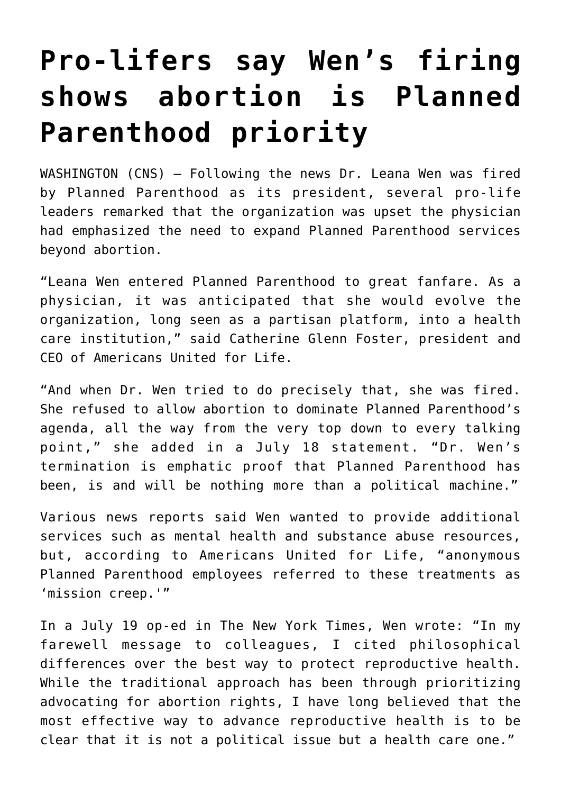## **[Pro-lifers say Wen's firing](https://www.osvnews.com/2019/07/23/pro-lifers-say-wens-firing-shows-abortion-is-planned-parenthood-priority/) [shows abortion is Planned](https://www.osvnews.com/2019/07/23/pro-lifers-say-wens-firing-shows-abortion-is-planned-parenthood-priority/) [Parenthood priority](https://www.osvnews.com/2019/07/23/pro-lifers-say-wens-firing-shows-abortion-is-planned-parenthood-priority/)**

WASHINGTON (CNS) — Following the news Dr. Leana Wen was fired by Planned Parenthood as its president, several pro-life leaders remarked that the organization was upset the physician had emphasized the need to expand Planned Parenthood services beyond abortion.

"Leana Wen entered Planned Parenthood to great fanfare. As a physician, it was anticipated that she would evolve the organization, long seen as a partisan platform, into a health care institution," said Catherine Glenn Foster, president and CEO of Americans United for Life.

"And when Dr. Wen tried to do precisely that, she was fired. She refused to allow abortion to dominate Planned Parenthood's agenda, all the way from the very top down to every talking point," she added in a July 18 statement. "Dr. Wen's termination is emphatic proof that Planned Parenthood has been, is and will be nothing more than a political machine."

Various news reports said Wen wanted to provide additional services such as mental health and substance abuse resources, but, according to Americans United for Life, "anonymous Planned Parenthood employees referred to these treatments as 'mission creep.'"

In a July 19 op-ed in The New York Times, Wen wrote: "In my farewell message to colleagues, I cited philosophical differences over the best way to protect reproductive health. While the traditional approach has been through prioritizing advocating for abortion rights, I have long believed that the most effective way to advance reproductive health is to be clear that it is not a political issue but a health care one."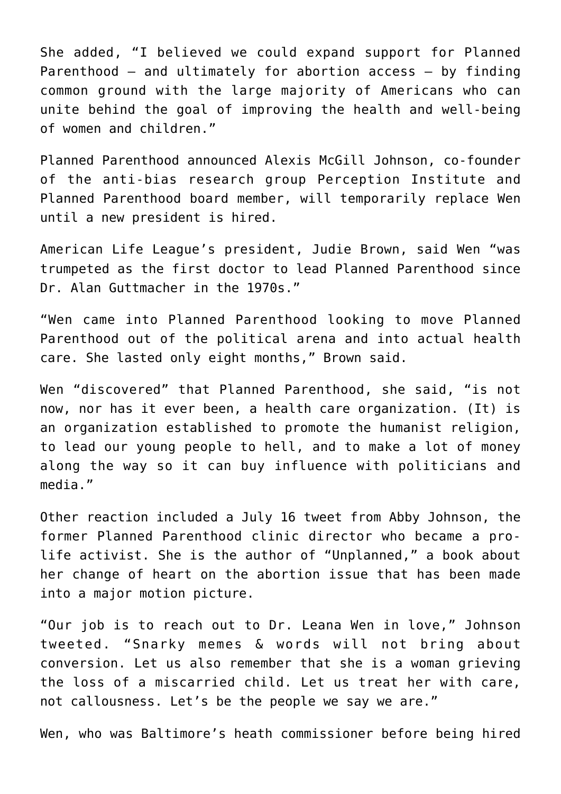She added, "I believed we could expand support for Planned Parenthood — and ultimately for abortion access — by finding common ground with the large majority of Americans who can unite behind the goal of improving the health and well-being of women and children."

Planned Parenthood announced Alexis McGill Johnson, co-founder of the anti-bias research group Perception Institute and Planned Parenthood board member, will temporarily replace Wen until a new president is hired.

American Life League's president, Judie Brown, said Wen "was trumpeted as the first doctor to lead Planned Parenthood since Dr. Alan Guttmacher in the 1970s."

"Wen came into Planned Parenthood looking to move Planned Parenthood out of the political arena and into actual health care. She lasted only eight months," Brown said.

Wen "discovered" that Planned Parenthood, she said, "is not now, nor has it ever been, a health care organization. (It) is an organization established to promote the humanist religion, to lead our young people to hell, and to make a lot of money along the way so it can buy influence with politicians and media."

Other reaction included a July 16 tweet from Abby Johnson, the former Planned Parenthood clinic director who became a prolife activist. She is the author of "Unplanned," a book about her change of heart on the abortion issue that has been made into a major motion picture.

"Our job is to reach out to Dr. Leana Wen in love," Johnson tweeted. "Snarky memes & words will not bring about conversion. Let us also remember that she is a woman grieving the loss of a miscarried child. Let us treat her with care, not callousness. Let's be the people we say we are."

Wen, who was Baltimore's heath commissioner before being hired